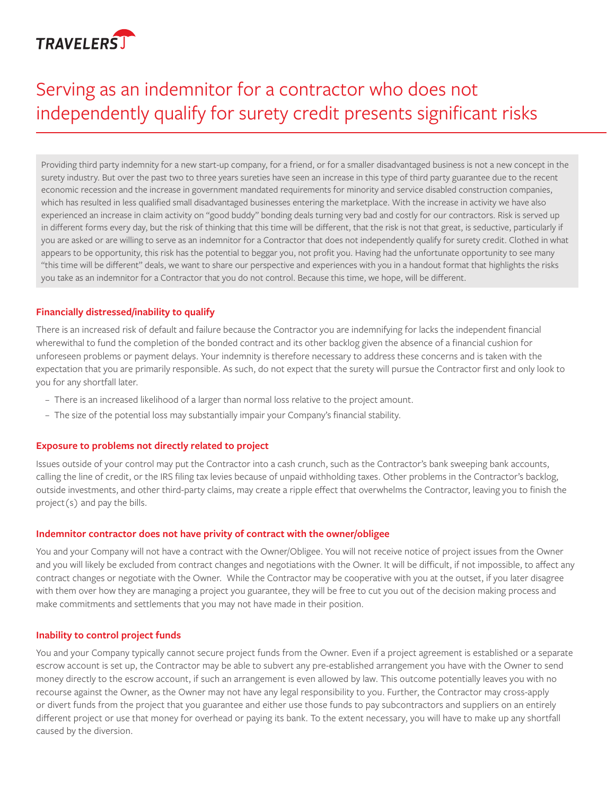

# Serving as an indemnitor for a contractor who does not independently qualify for surety credit presents significant risks

Providing third party indemnity for a new start-up company, for a friend, or for a smaller disadvantaged business is not a new concept in the surety industry. But over the past two to three years sureties have seen an increase in this type of third party guarantee due to the recent economic recession and the increase in government mandated requirements for minority and service disabled construction companies, which has resulted in less qualified small disadvantaged businesses entering the marketplace. With the increase in activity we have also experienced an increase in claim activity on "good buddy" bonding deals turning very bad and costly for our contractors. Risk is served up in different forms every day, but the risk of thinking that this time will be different, that the risk is not that great, is seductive, particularly if you are asked or are willing to serve as an indemnitor for a Contractor that does not independently qualify for surety credit. Clothed in what appears to be opportunity, this risk has the potential to beggar you, not profit you. Having had the unfortunate opportunity to see many "this time will be different" deals, we want to share our perspective and experiences with you in a handout format that highlights the risks you take as an indemnitor for a Contractor that you do not control. Because this time, we hope, will be different.

# **Financially distressed/inability to qualify**

There is an increased risk of default and failure because the Contractor you are indemnifying for lacks the independent financial wherewithal to fund the completion of the bonded contract and its other backlog given the absence of a financial cushion for unforeseen problems or payment delays. Your indemnity is therefore necessary to address these concerns and is taken with the expectation that you are primarily responsible. As such, do not expect that the surety will pursue the Contractor first and only look to you for any shortfall later.

- There is an increased likelihood of a larger than normal loss relative to the project amount.
- The size of the potential loss may substantially impair your Company's financial stability.

#### **Exposure to problems not directly related to project**

Issues outside of your control may put the Contractor into a cash crunch, such as the Contractor's bank sweeping bank accounts, calling the line of credit, or the IRS filing tax levies because of unpaid withholding taxes. Other problems in the Contractor's backlog, outside investments, and other third-party claims, may create a ripple effect that overwhelms the Contractor, leaving you to finish the project(s) and pay the bills.

#### **Indemnitor contractor does not have privity of contract with the owner/obligee**

You and your Company will not have a contract with the Owner/Obligee. You will not receive notice of project issues from the Owner and you will likely be excluded from contract changes and negotiations with the Owner. It will be difficult, if not impossible, to affect any contract changes or negotiate with the Owner. While the Contractor may be cooperative with you at the outset, if you later disagree with them over how they are managing a project you guarantee, they will be free to cut you out of the decision making process and make commitments and settlements that you may not have made in their position.

## **Inability to control project funds**

You and your Company typically cannot secure project funds from the Owner. Even if a project agreement is established or a separate escrow account is set up, the Contractor may be able to subvert any pre-established arrangement you have with the Owner to send money directly to the escrow account, if such an arrangement is even allowed by law. This outcome potentially leaves you with no recourse against the Owner, as the Owner may not have any legal responsibility to you. Further, the Contractor may cross-apply or divert funds from the project that you guarantee and either use those funds to pay subcontractors and suppliers on an entirely different project or use that money for overhead or paying its bank. To the extent necessary, you will have to make up any shortfall caused by the diversion.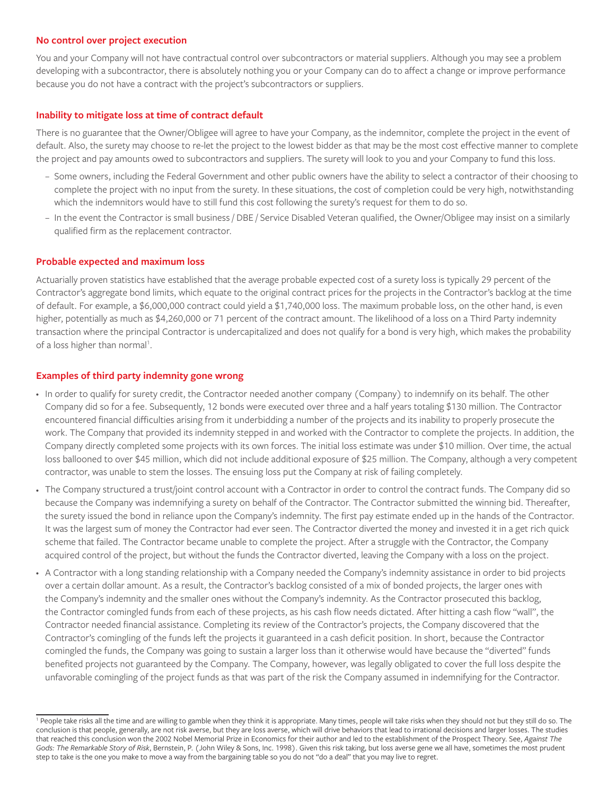#### **No control over project execution**

You and your Company will not have contractual control over subcontractors or material suppliers. Although you may see a problem developing with a subcontractor, there is absolutely nothing you or your Company can do to affect a change or improve performance because you do not have a contract with the project's subcontractors or suppliers.

## **Inability to mitigate loss at time of contract default**

There is no guarantee that the Owner/Obligee will agree to have your Company, as the indemnitor, complete the project in the event of default. Also, the surety may choose to re-let the project to the lowest bidder as that may be the most cost effective manner to complete the project and pay amounts owed to subcontractors and suppliers. The surety will look to you and your Company to fund this loss.

- Some owners, including the Federal Government and other public owners have the ability to select a contractor of their choosing to complete the project with no input from the surety. In these situations, the cost of completion could be very high, notwithstanding which the indemnitors would have to still fund this cost following the surety's request for them to do so.
- In the event the Contractor is small business / DBE / Service Disabled Veteran qualified, the Owner/Obligee may insist on a similarly qualified firm as the replacement contractor.

#### **Probable expected and maximum loss**

Actuarially proven statistics have established that the average probable expected cost of a surety loss is typically 29 percent of the Contractor's aggregate bond limits, which equate to the original contract prices for the projects in the Contractor's backlog at the time of default. For example, a \$6,000,000 contract could yield a \$1,740,000 loss. The maximum probable loss, on the other hand, is even higher, potentially as much as \$4,260,000 or 71 percent of the contract amount. The likelihood of a loss on a Third Party indemnity transaction where the principal Contractor is undercapitalized and does not qualify for a bond is very high, which makes the probability of a loss higher than normal<sup>1</sup>.

## **Examples of third party indemnity gone wrong**

- • In order to qualify for surety credit, the Contractor needed another company (Company) to indemnify on its behalf. The other Company did so for a fee. Subsequently, 12 bonds were executed over three and a half years totaling \$130 million. The Contractor encountered financial difficulties arising from it underbidding a number of the projects and its inability to properly prosecute the work. The Company that provided its indemnity stepped in and worked with the Contractor to complete the projects. In addition, the Company directly completed some projects with its own forces. The initial loss estimate was under \$10 million. Over time, the actual loss ballooned to over \$45 million, which did not include additional exposure of \$25 million. The Company, although a very competent contractor, was unable to stem the losses. The ensuing loss put the Company at risk of failing completely.
- The Company structured a trust/joint control account with a Contractor in order to control the contract funds. The Company did so because the Company was indemnifying a surety on behalf of the Contractor. The Contractor submitted the winning bid. Thereafter, the surety issued the bond in reliance upon the Company's indemnity. The first pay estimate ended up in the hands of the Contractor. It was the largest sum of money the Contractor had ever seen. The Contractor diverted the money and invested it in a get rich quick scheme that failed. The Contractor became unable to complete the project. After a struggle with the Contractor, the Company acquired control of the project, but without the funds the Contractor diverted, leaving the Company with a loss on the project.
- A Contractor with a long standing relationship with a Company needed the Company's indemnity assistance in order to bid projects over a certain dollar amount. As a result, the Contractor's backlog consisted of a mix of bonded projects, the larger ones with the Company's indemnity and the smaller ones without the Company's indemnity. As the Contractor prosecuted this backlog, the Contractor comingled funds from each of these projects, as his cash flow needs dictated. After hitting a cash flow "wall", the Contractor needed financial assistance. Completing its review of the Contractor's projects, the Company discovered that the Contractor's comingling of the funds left the projects it guaranteed in a cash deficit position. In short, because the Contractor comingled the funds, the Company was going to sustain a larger loss than it otherwise would have because the "diverted" funds benefited projects not guaranteed by the Company. The Company, however, was legally obligated to cover the full loss despite the unfavorable comingling of the project funds as that was part of the risk the Company assumed in indemnifying for the Contractor.

<sup>&</sup>lt;sup>1</sup> People take risks all the time and are willing to gamble when they think it is appropriate. Many times, people will take risks when they should not but they still do so. The conclusion is that people, generally, are not risk averse, but they are loss averse, which will drive behaviors that lead to irrational decisions and larger losses. The studies that reached this conclusion won the 2002 Nobel Memorial Prize in Economics for their author and led to the establishment of the Prospect Theory. See, *Against The Gods: The Remarkable Story of Risk*, Bernstein, P. (John Wiley & Sons, Inc. 1998). Given this risk taking, but loss averse gene we all have, sometimes the most prudent step to take is the one you make to move a way from the bargaining table so you do not "do a deal" that you may live to regret.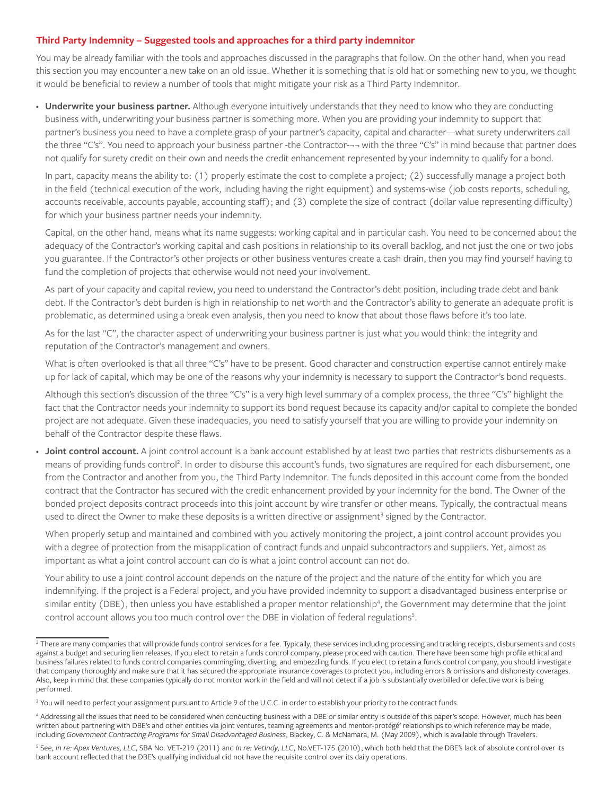## **Third Party Indemnity – Suggested tools and approaches for a third party indemnitor**

You may be already familiar with the tools and approaches discussed in the paragraphs that follow. On the other hand, when you read this section you may encounter a new take on an old issue. Whether it is something that is old hat or something new to you, we thought it would be beneficial to review a number of tools that might mitigate your risk as a Third Party Indemnitor.

• **Underwrite your business partner.** Although everyone intuitively understands that they need to know who they are conducting business with, underwriting your business partner is something more. When you are providing your indemnity to support that partner's business you need to have a complete grasp of your partner's capacity, capital and character—what surety underwriters call the three "C's". You need to approach your business partner -the Contractor-¬¬ with the three "C's" in mind because that partner does not qualify for surety credit on their own and needs the credit enhancement represented by your indemnity to qualify for a bond.

In part, capacity means the ability to: (1) properly estimate the cost to complete a project; (2) successfully manage a project both in the field (technical execution of the work, including having the right equipment) and systems-wise (job costs reports, scheduling, accounts receivable, accounts payable, accounting staff); and (3) complete the size of contract (dollar value representing difficulty) for which your business partner needs your indemnity.

Capital, on the other hand, means what its name suggests: working capital and in particular cash. You need to be concerned about the adequacy of the Contractor's working capital and cash positions in relationship to its overall backlog, and not just the one or two jobs you guarantee. If the Contractor's other projects or other business ventures create a cash drain, then you may find yourself having to fund the completion of projects that otherwise would not need your involvement.

As part of your capacity and capital review, you need to understand the Contractor's debt position, including trade debt and bank debt. If the Contractor's debt burden is high in relationship to net worth and the Contractor's ability to generate an adequate profit is problematic, as determined using a break even analysis, then you need to know that about those flaws before it's too late.

As for the last "C", the character aspect of underwriting your business partner is just what you would think: the integrity and reputation of the Contractor's management and owners.

What is often overlooked is that all three "C's" have to be present. Good character and construction expertise cannot entirely make up for lack of capital, which may be one of the reasons why your indemnity is necessary to support the Contractor's bond requests.

Although this section's discussion of the three "C's" is a very high level summary of a complex process, the three "C's" highlight the fact that the Contractor needs your indemnity to support its bond request because its capacity and/or capital to complete the bonded project are not adequate. Given these inadequacies, you need to satisfy yourself that you are willing to provide your indemnity on behalf of the Contractor despite these flaws.

• **Joint control account.** A joint control account is a bank account established by at least two parties that restricts disbursements as a means of providing funds control<sup>2</sup>. In order to disburse this account's funds, two signatures are required for each disbursement, one from the Contractor and another from you, the Third Party Indemnitor. The funds deposited in this account come from the bonded contract that the Contractor has secured with the credit enhancement provided by your indemnity for the bond. The Owner of the bonded project deposits contract proceeds into this joint account by wire transfer or other means. Typically, the contractual means used to direct the Owner to make these deposits is a written directive or assignment<sup>3</sup> signed by the Contractor.

When properly setup and maintained and combined with you actively monitoring the project, a joint control account provides you with a degree of protection from the misapplication of contract funds and unpaid subcontractors and suppliers. Yet, almost as important as what a joint control account can do is what a joint control account can not do.

Your ability to use a joint control account depends on the nature of the project and the nature of the entity for which you are indemnifying. If the project is a Federal project, and you have provided indemnity to support a disadvantaged business enterprise or similar entity (DBE), then unless you have established a proper mentor relationship4 , the Government may determine that the joint control account allows you too much control over the DBE in violation of federal regulations<sup>5</sup>.

<sup>&</sup>lt;sup>2</sup> There are many companies that will provide funds control services for a fee. Typically, these services including processing and tracking receipts, disbursements and costs against a budget and securing lien releases. If you elect to retain a funds control company, please proceed with caution. There have been some high profile ethical and business failures related to funds control companies commingling, diverting, and embezzling funds. If you elect to retain a funds control company, you should investigate that company thoroughly and make sure that it has secured the appropriate insurance coverages to protect you, including errors & omissions and dishonesty coverages. Also, keep in mind that these companies typically do not monitor work in the field and will not detect if a job is substantially overbilled or defective work is being performed.

<sup>&</sup>lt;sup>3</sup> You will need to perfect your assignment pursuant to Article 9 of the U.C.C. in order to establish your priority to the contract funds.

<sup>4</sup> Addressing all the issues that need to be considered when conducting business with a DBE or similar entity is outside of this paper's scope. However, much has been written about partnering with DBE's and other entities via joint ventures, teaming agreements and mentor-protégé' relationships to which reference may be made, including *Government Contracting Programs for Small Disadvantaged Business*, Blackey, C. & McNamara, M. (May 2009), which is available through Travelers.

<sup>5</sup> See, *In re: Apex Ventures, LLC*, SBA No. VET-219 (2011) and *In re: VetIndy, LLC*, No.VET-175 (2010), which both held that the DBE's lack of absolute control over its bank account reflected that the DBE's qualifying individual did not have the requisite control over its daily operations.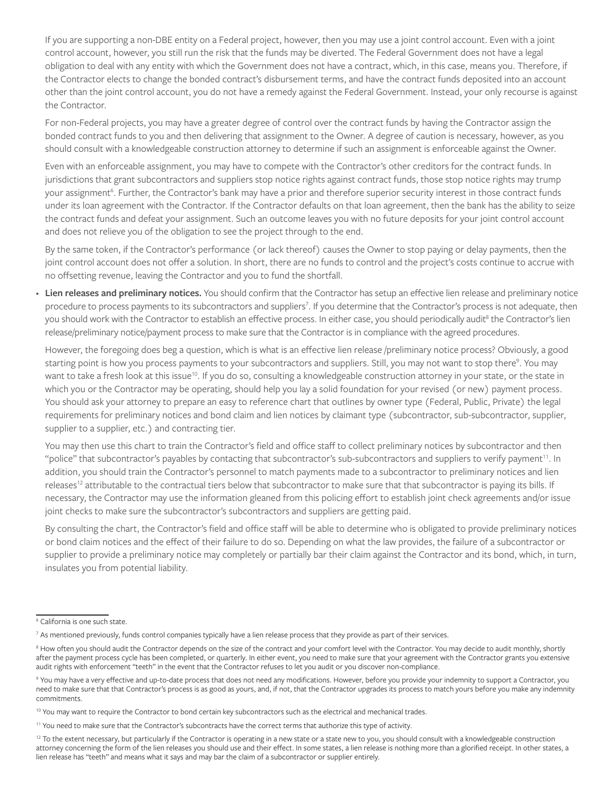If you are supporting a non-DBE entity on a Federal project, however, then you may use a joint control account. Even with a joint control account, however, you still run the risk that the funds may be diverted. The Federal Government does not have a legal obligation to deal with any entity with which the Government does not have a contract, which, in this case, means you. Therefore, if the Contractor elects to change the bonded contract's disbursement terms, and have the contract funds deposited into an account other than the joint control account, you do not have a remedy against the Federal Government. Instead, your only recourse is against the Contractor.

For non-Federal projects, you may have a greater degree of control over the contract funds by having the Contractor assign the bonded contract funds to you and then delivering that assignment to the Owner. A degree of caution is necessary, however, as you should consult with a knowledgeable construction attorney to determine if such an assignment is enforceable against the Owner.

Even with an enforceable assignment, you may have to compete with the Contractor's other creditors for the contract funds. In jurisdictions that grant subcontractors and suppliers stop notice rights against contract funds, those stop notice rights may trump your assignment<sup>6</sup>. Further, the Contractor's bank may have a prior and therefore superior security interest in those contract funds under its loan agreement with the Contractor. If the Contractor defaults on that loan agreement, then the bank has the ability to seize the contract funds and defeat your assignment. Such an outcome leaves you with no future deposits for your joint control account and does not relieve you of the obligation to see the project through to the end.

By the same token, if the Contractor's performance (or lack thereof) causes the Owner to stop paying or delay payments, then the joint control account does not offer a solution. In short, there are no funds to control and the project's costs continue to accrue with no offsetting revenue, leaving the Contractor and you to fund the shortfall.

• Lien releases and preliminary notices. You should confirm that the Contractor has setup an effective lien release and preliminary notice procedure to process payments to its subcontractors and suppliers<sup>7</sup>. If you determine that the Contractor's process is not adequate, then you should work with the Contractor to establish an effective process. In either case, you should periodically audit<sup>8</sup> the Contractor's lien release/preliminary notice/payment process to make sure that the Contractor is in compliance with the agreed procedures.

However, the foregoing does beg a question, which is what is an effective lien release /preliminary notice process? Obviously, a good starting point is how you process payments to your subcontractors and suppliers. Still, you may not want to stop there<sup>9</sup>. You may want to take a fresh look at this issue<sup>10</sup>. If you do so, consulting a knowledgeable construction attorney in your state, or the state in which you or the Contractor may be operating, should help you lay a solid foundation for your revised (or new) payment process. You should ask your attorney to prepare an easy to reference chart that outlines by owner type (Federal, Public, Private) the legal requirements for preliminary notices and bond claim and lien notices by claimant type (subcontractor, sub-subcontractor, supplier, supplier to a supplier, etc.) and contracting tier.

You may then use this chart to train the Contractor's field and office staff to collect preliminary notices by subcontractor and then "police" that subcontractor's payables by contacting that subcontractor's sub-subcontractors and suppliers to verify payment<sup>11</sup>. In addition, you should train the Contractor's personnel to match payments made to a subcontractor to preliminary notices and lien releases<sup>12</sup> attributable to the contractual tiers below that subcontractor to make sure that that subcontractor is paying its bills. If necessary, the Contractor may use the information gleaned from this policing effort to establish joint check agreements and/or issue joint checks to make sure the subcontractor's subcontractors and suppliers are getting paid.

By consulting the chart, the Contractor's field and office staff will be able to determine who is obligated to provide preliminary notices or bond claim notices and the effect of their failure to do so. Depending on what the law provides, the failure of a subcontractor or supplier to provide a preliminary notice may completely or partially bar their claim against the Contractor and its bond, which, in turn, insulates you from potential liability.

<sup>6</sup> California is one such state.

<sup>7</sup> As mentioned previously, funds control companies typically have a lien release process that they provide as part of their services.

 $^8$  How often you should audit the Contractor depends on the size of the contract and your comfort level with the Contractor. You may decide to audit monthly, shortly  $\,$ after the payment process cycle has been completed, or quarterly. In either event, you need to make sure that your agreement with the Contractor grants you extensive audit rights with enforcement "teeth" in the event that the Contractor refuses to let you audit or you discover non-compliance.

<sup>9</sup> You may have a very effective and up-to-date process that does not need any modifications. However, before you provide your indemnity to support a Contractor, you need to make sure that that Contractor's process is as good as yours, and, if not, that the Contractor upgrades its process to match yours before you make any indemnity commitments.

<sup>&</sup>lt;sup>10</sup> You may want to require the Contractor to bond certain key subcontractors such as the electrical and mechanical trades.

<sup>11</sup> You need to make sure that the Contractor's subcontracts have the correct terms that authorize this type of activity.

<sup>&</sup>lt;sup>12</sup> To the extent necessary, but particularly if the Contractor is operating in a new state or a state new to you, you should consult with a knowledgeable construction attorney concerning the form of the lien releases you should use and their effect. In some states, a lien release is nothing more than a glorified receipt. In other states, a lien release has "teeth" and means what it says and may bar the claim of a subcontractor or supplier entirely.